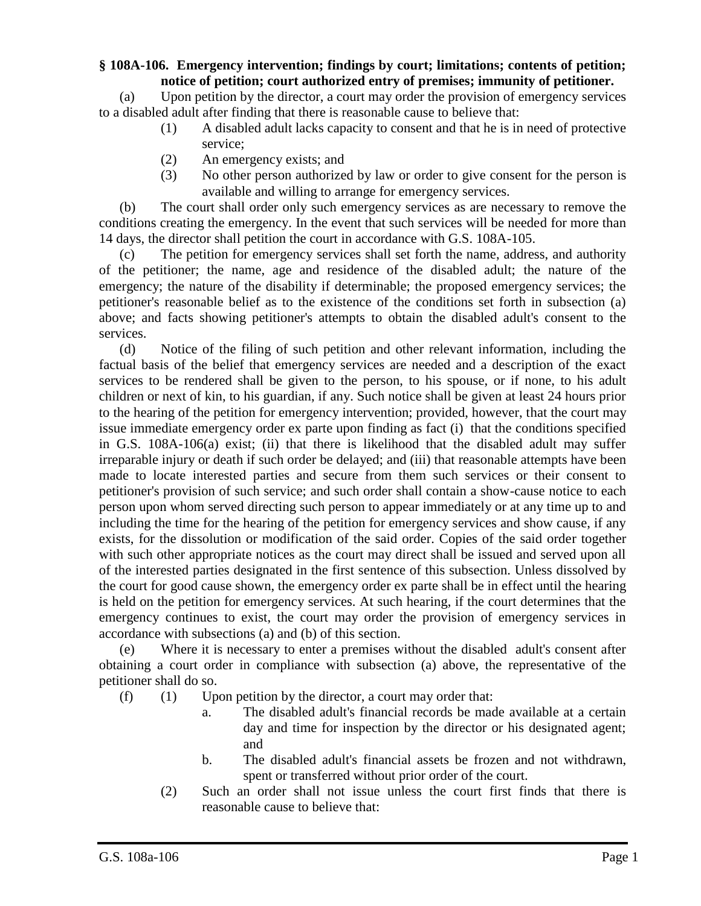## **§ 108A-106. Emergency intervention; findings by court; limitations; contents of petition; notice of petition; court authorized entry of premises; immunity of petitioner.**

(a) Upon petition by the director, a court may order the provision of emergency services to a disabled adult after finding that there is reasonable cause to believe that:

- (1) A disabled adult lacks capacity to consent and that he is in need of protective service;
- (2) An emergency exists; and
- (3) No other person authorized by law or order to give consent for the person is available and willing to arrange for emergency services.

(b) The court shall order only such emergency services as are necessary to remove the conditions creating the emergency. In the event that such services will be needed for more than 14 days, the director shall petition the court in accordance with G.S. 108A-105.

(c) The petition for emergency services shall set forth the name, address, and authority of the petitioner; the name, age and residence of the disabled adult; the nature of the emergency; the nature of the disability if determinable; the proposed emergency services; the petitioner's reasonable belief as to the existence of the conditions set forth in subsection (a) above; and facts showing petitioner's attempts to obtain the disabled adult's consent to the services.

(d) Notice of the filing of such petition and other relevant information, including the factual basis of the belief that emergency services are needed and a description of the exact services to be rendered shall be given to the person, to his spouse, or if none, to his adult children or next of kin, to his guardian, if any. Such notice shall be given at least 24 hours prior to the hearing of the petition for emergency intervention; provided, however, that the court may issue immediate emergency order ex parte upon finding as fact (i) that the conditions specified in G.S. 108A-106(a) exist; (ii) that there is likelihood that the disabled adult may suffer irreparable injury or death if such order be delayed; and (iii) that reasonable attempts have been made to locate interested parties and secure from them such services or their consent to petitioner's provision of such service; and such order shall contain a show-cause notice to each person upon whom served directing such person to appear immediately or at any time up to and including the time for the hearing of the petition for emergency services and show cause, if any exists, for the dissolution or modification of the said order. Copies of the said order together with such other appropriate notices as the court may direct shall be issued and served upon all of the interested parties designated in the first sentence of this subsection. Unless dissolved by the court for good cause shown, the emergency order ex parte shall be in effect until the hearing is held on the petition for emergency services. At such hearing, if the court determines that the emergency continues to exist, the court may order the provision of emergency services in accordance with subsections (a) and (b) of this section.

(e) Where it is necessary to enter a premises without the disabled adult's consent after obtaining a court order in compliance with subsection (a) above, the representative of the petitioner shall do so.

- $(f)$  (1) Upon petition by the director, a court may order that:
	- a. The disabled adult's financial records be made available at a certain day and time for inspection by the director or his designated agent; and
	- b. The disabled adult's financial assets be frozen and not withdrawn, spent or transferred without prior order of the court.
	- (2) Such an order shall not issue unless the court first finds that there is reasonable cause to believe that: